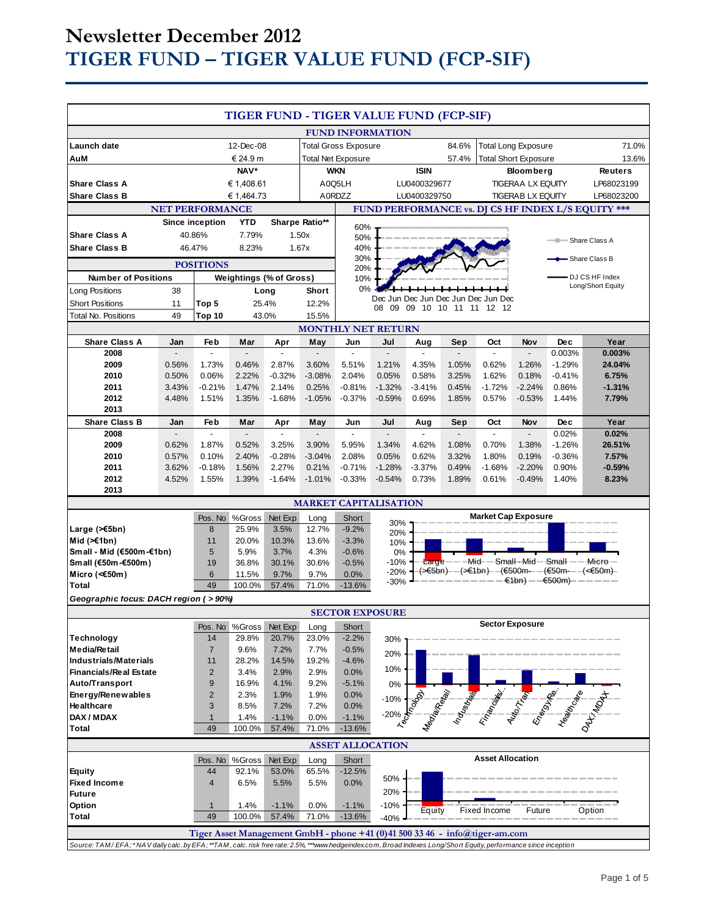# **Newsletter December 2012 TIGER FUND – TIGER VALUE FUND (FCP-SIF)**

| TIGER FUND - TIGER VALUE FUND (FCP-SIF)                                                                                                                          |                         |                         |                             |                                   |                         |                              |                                                                                                                     |                             |                         |                                                             |                          |                        |                                     |
|------------------------------------------------------------------------------------------------------------------------------------------------------------------|-------------------------|-------------------------|-----------------------------|-----------------------------------|-------------------------|------------------------------|---------------------------------------------------------------------------------------------------------------------|-----------------------------|-------------------------|-------------------------------------------------------------|--------------------------|------------------------|-------------------------------------|
|                                                                                                                                                                  |                         |                         |                             |                                   |                         | <b>FUND INFORMATION</b>      |                                                                                                                     |                             |                         |                                                             |                          |                        |                                     |
| Launch date<br>12-Dec-08                                                                                                                                         |                         |                         | <b>Total Gross Exposure</b> |                                   |                         | 84.6%                        | <b>Total Long Exposure</b>                                                                                          |                             |                         | 71.0%                                                       |                          |                        |                                     |
| AuM<br>€ 24.9 m                                                                                                                                                  |                         |                         | <b>Total Net Exposure</b>   |                                   |                         | 57.4%                        |                                                                                                                     | <b>Total Short Exposure</b> |                         | 13.6%                                                       |                          |                        |                                     |
| NAV*                                                                                                                                                             |                         |                         | WKN                         |                                   |                         | <b>ISIN</b>                  |                                                                                                                     | <b>Bloomberg</b>            |                         | <b>Reuters</b>                                              |                          |                        |                                     |
| <b>Share Class A</b>                                                                                                                                             |                         | € 1,408.61              |                             |                                   | A0Q5LH<br>A0RDZZ        |                              |                                                                                                                     | LU0400329677                |                         | <b>TIGERAA LX EQUITY</b>                                    |                          | LP68023199             |                                     |
| <b>Share Class B</b>                                                                                                                                             |                         |                         | € 1,464.73                  |                                   |                         |                              |                                                                                                                     | LU0400329750                |                         |                                                             | <b>TIGERAB LX EQUITY</b> |                        | LP68023200                          |
| <b>NET PERFORMANCE</b><br>FUND PERFORMANCE vs. DJ CS HF INDEX L/S EQUITY ***                                                                                     |                         |                         |                             |                                   |                         |                              |                                                                                                                     |                             |                         |                                                             |                          |                        |                                     |
|                                                                                                                                                                  |                         | Since inception         | <b>YTD</b>                  | Sharpe Ratio**                    |                         | 60%                          |                                                                                                                     |                             |                         |                                                             |                          |                        |                                     |
| <b>Share Class A</b>                                                                                                                                             |                         | 40.86%                  | 7.79%                       |                                   | 1.50x                   | 50%                          |                                                                                                                     |                             |                         |                                                             |                          |                        | Share Class A                       |
| <b>Share Class B</b><br>8.23%<br>46.47%                                                                                                                          |                         |                         | 1.67x                       | 40%<br>30%                        |                         |                              |                                                                                                                     |                             |                         |                                                             | Share Class B            |                        |                                     |
| <b>POSITIONS</b>                                                                                                                                                 |                         |                         |                             |                                   | 20%                     |                              |                                                                                                                     |                             |                         |                                                             |                          |                        |                                     |
| <b>Number of Positions</b>                                                                                                                                       |                         |                         |                             | <b>Weightings (% of Gross)</b>    |                         | 10%                          |                                                                                                                     |                             |                         |                                                             |                          |                        | DJ CS HF Index<br>Long/Short Equity |
| <b>Long Positions</b>                                                                                                                                            | 38                      |                         |                             | Long                              | Short                   | 0%                           |                                                                                                                     |                             |                         |                                                             |                          |                        |                                     |
| <b>Short Positions</b>                                                                                                                                           | 11                      | Top 5                   |                             | 25.4%                             | 12.2%                   |                              | 08<br>09                                                                                                            |                             |                         | Dec Jun Dec Jun Dec Jun Dec Jun Dec<br>09 10 10 11 11 12 12 |                          |                        |                                     |
| <b>Total No. Positions</b>                                                                                                                                       | 49                      | Top 10                  |                             | 43.0%                             | 15.5%                   |                              |                                                                                                                     |                             |                         |                                                             |                          |                        |                                     |
| <b>MONTHLY NET RETURN</b>                                                                                                                                        |                         |                         |                             |                                   |                         |                              |                                                                                                                     |                             |                         |                                                             |                          |                        |                                     |
| <b>Share Class A</b>                                                                                                                                             | Jan                     | Feb                     | Mar                         | Apr                               | May                     | Jun                          | Jul                                                                                                                 | Aug                         | Sep                     | Oct                                                         | Nov                      | <b>Dec</b>             | Year                                |
| 2008<br>2009                                                                                                                                                     | $\overline{a}$<br>0.56% | $\overline{a}$<br>1.73% | $\overline{a}$<br>0.46%     | $\overline{\phantom{a}}$<br>2.87% | $\blacksquare$<br>3.60% | $\overline{a}$<br>5.51%      | $\overline{\phantom{a}}$<br>1.21%                                                                                   | $\blacksquare$<br>4.35%     | $\overline{a}$<br>1.05% | $\blacksquare$<br>0.62%                                     | 1.26%                    | 0.003%<br>$-1.29%$     | 0.003%<br>24.04%                    |
| 2010                                                                                                                                                             | 0.50%                   | 0.06%                   | 2.22%                       | $-0.32%$                          | $-3.08%$                | 2.04%                        | 0.05%                                                                                                               | 0.58%                       | 3.25%                   | 1.62%                                                       | 0.18%                    | $-0.41%$               | 6.75%                               |
| 2011                                                                                                                                                             | 3.43%                   | $-0.21%$                | 1.47%                       | 2.14%                             | 0.25%                   | $-0.81%$                     | $-1.32%$                                                                                                            | $-3.41%$                    | 0.45%                   | $-1.72%$                                                    | $-2.24%$                 | 0.86%                  | $-1.31%$                            |
| 2012                                                                                                                                                             | 4.48%                   | 1.51%                   | 1.35%                       | $-1.68%$                          | $-1.05%$                | $-0.37%$                     | $-0.59%$                                                                                                            | 0.69%                       | 1.85%                   | 0.57%                                                       | $-0.53%$                 | 1.44%                  | 7.79%                               |
| 2013                                                                                                                                                             |                         |                         |                             |                                   |                         |                              |                                                                                                                     |                             |                         |                                                             |                          |                        |                                     |
| <b>Share Class B</b>                                                                                                                                             | Jan                     | Feb                     | Mar                         | Apr                               | May                     | Jun                          | Jul                                                                                                                 | Aug                         | Sep                     | Oct                                                         | Nov                      | <b>Dec</b>             | Year                                |
| 2008                                                                                                                                                             | $\overline{a}$          | $\blacksquare$          | $\overline{\phantom{0}}$    | $\blacksquare$                    | $\overline{a}$          | $\blacksquare$               | $\blacksquare$                                                                                                      | $\blacksquare$              | $\overline{a}$          | $\blacksquare$                                              | $\blacksquare$           | 0.02%                  | 0.02%                               |
| 2009<br>2010                                                                                                                                                     | 0.62%<br>0.57%          | 1.87%<br>0.10%          | 0.52%<br>2.40%              | 3.25%<br>$-0.28%$                 | 3.90%<br>$-3.04%$       | 5.95%<br>2.08%               | 1.34%<br>0.05%                                                                                                      | 4.62%<br>0.62%              | 1.08%<br>3.32%          | 0.70%<br>1.80%                                              | 1.38%<br>0.19%           | $-1.26%$<br>$-0.36%$   | 26.51%<br>7.57%                     |
| 2011                                                                                                                                                             | 3.62%                   | $-0.18%$                | 1.56%                       | 2.27%                             | 0.21%                   | $-0.71%$                     | $-1.28%$                                                                                                            | $-3.37%$                    | 0.49%                   | $-1.68%$                                                    | $-2.20%$                 | 0.90%                  | $-0.59%$                            |
| 2012                                                                                                                                                             | 4.52%                   | 1.55%                   | 1.39%                       | $-1.64%$                          | $-1.01%$                | $-0.33%$                     | $-0.54%$                                                                                                            | 0.73%                       | 1.89%                   | 0.61%                                                       | $-0.49%$                 | 1.40%                  | 8.23%                               |
| 2013                                                                                                                                                             |                         |                         |                             |                                   |                         |                              |                                                                                                                     |                             |                         |                                                             |                          |                        |                                     |
|                                                                                                                                                                  |                         |                         |                             |                                   |                         | <b>MARKET CAPITALISATION</b> |                                                                                                                     |                             |                         |                                                             |                          |                        |                                     |
|                                                                                                                                                                  |                         | Pos. No                 | %Gross                      | Net Exp                           | Long                    | Short                        |                                                                                                                     |                             |                         | <b>Market Cap Exposure</b>                                  |                          |                        |                                     |
| Large (≻€5bn)                                                                                                                                                    |                         | 8                       | 25.9%                       | 3.5%                              | 12.7%                   | $-9.2%$                      | 30%<br>20%                                                                                                          |                             |                         |                                                             |                          |                        |                                     |
| Mid $(\ge 1$ bn)                                                                                                                                                 |                         | 11                      | 20.0%                       | 10.3%                             | 13.6%                   | $-3.3%$                      | 10%                                                                                                                 |                             |                         |                                                             |                          |                        |                                     |
| Small - Mid (€500m-€1bn)                                                                                                                                         |                         | 5                       | 5.9%                        | 3.7%                              | 4.3%                    | $-0.6%$                      | 0%                                                                                                                  |                             |                         |                                                             |                          |                        |                                     |
| Small (€50m-€500m)                                                                                                                                               |                         | 19<br>6                 | 36.8%<br>11.5%              | 30.1%<br>9.7%                     | 30.6%<br>9.7%           | $-0.5%$                      | $Large---Mid--Small-Mid—Small--Miler--Micro-$<br>$-10%$<br>(>€5bn)- —(>€1bn)- —(€500m-- —(€50m--- -(<€50m)-<br>-20% |                             |                         |                                                             |                          |                        |                                     |
| Micro (<€50m)<br><b>Total</b>                                                                                                                                    |                         | 49                      | 100.0%                      | 57.4%                             | 71.0%                   | 0.0%<br>$-13.6%$             | $-30%$                                                                                                              |                             |                         |                                                             |                          | - €1bn) ——€500m) ————— |                                     |
|                                                                                                                                                                  |                         |                         |                             |                                   |                         |                              |                                                                                                                     |                             |                         |                                                             |                          |                        |                                     |
| Geographic focus: DACH region (>90%)<br><b>SECTOR EXPOSURE</b>                                                                                                   |                         |                         |                             |                                   |                         |                              |                                                                                                                     |                             |                         |                                                             |                          |                        |                                     |
|                                                                                                                                                                  |                         | Pos. No                 | %Gross                      | Net Exp                           | Long                    | Short                        |                                                                                                                     |                             |                         | <b>Sector Exposure</b>                                      |                          |                        |                                     |
| <b>Technology</b>                                                                                                                                                |                         | 14                      | 29.8%                       | 20.7%                             | 23.0%                   | $-2.2%$                      | 30%                                                                                                                 |                             |                         |                                                             |                          |                        |                                     |
| <b>Media/Retail</b>                                                                                                                                              |                         | $\overline{7}$          | 9.6%                        | 7.2%                              | 7.7%                    | $-0.5%$                      | 20%                                                                                                                 |                             |                         |                                                             |                          |                        |                                     |
| <b>Industrials/Materials</b>                                                                                                                                     |                         | 11                      | 28.2%                       | 14.5%                             | 19.2%                   | $-4.6%$                      |                                                                                                                     |                             |                         |                                                             |                          |                        |                                     |
| <b>Financials/Real Estate</b>                                                                                                                                    |                         | $\overline{c}$          | 3.4%                        | 2.9%                              | 2.9%                    | 0.0%                         | 10%                                                                                                                 |                             |                         |                                                             |                          |                        |                                     |
| Auto/Transport                                                                                                                                                   |                         | 9                       | 16.9%                       | 4.1%                              | 9.2%                    | $-5.1%$                      | 0%                                                                                                                  |                             |                         |                                                             |                          |                        |                                     |
| Energy/Renewables                                                                                                                                                |                         | $\overline{c}$          | 2.3%                        | 1.9%                              | 1.9%                    | 0.0%                         | $-10%$                                                                                                              |                             |                         |                                                             |                          |                        |                                     |
| Healthcare<br>DAX / MDAX                                                                                                                                         |                         | 3<br>$\mathbf{1}$       | 8.5%<br>1.4%                | 7.2%<br>$-1.1%$                   | 7.2%<br>0.0%            | 0.0%<br>$-1.1%$              | $-20%$                                                                                                              |                             |                         |                                                             |                          |                        |                                     |
| Total                                                                                                                                                            |                         | 49                      | 100.0%                      | 57.4%                             | 71.0%                   | $-13.6%$                     |                                                                                                                     |                             |                         |                                                             |                          |                        |                                     |
|                                                                                                                                                                  |                         |                         |                             |                                   |                         |                              |                                                                                                                     |                             |                         |                                                             |                          |                        |                                     |
| <b>ASSET ALLOCATION</b><br><b>Asset Allocation</b>                                                                                                               |                         |                         |                             |                                   |                         |                              |                                                                                                                     |                             |                         |                                                             |                          |                        |                                     |
| <b>Equity</b>                                                                                                                                                    |                         | Pos. No<br>44           | $\%$ Gross<br>92.1%         | Net Exp<br>53.0%                  | Long<br>65.5%           | Short<br>$-12.5%$            |                                                                                                                     |                             |                         |                                                             |                          |                        |                                     |
| <b>Fixed Income</b>                                                                                                                                              |                         | 4                       | 6.5%                        | 5.5%                              | 5.5%                    | 0.0%                         | 50%                                                                                                                 |                             |                         |                                                             |                          |                        |                                     |
| <b>Future</b>                                                                                                                                                    |                         |                         |                             |                                   |                         |                              | 20%                                                                                                                 |                             |                         |                                                             |                          |                        |                                     |
| Option                                                                                                                                                           |                         | $\mathbf{1}$            | 1.4%                        | $-1.1%$                           | 0.0%                    | $-1.1%$                      | $-10%$                                                                                                              | Equity                      |                         | Fixed Income                                                | Future                   |                        | Option                              |
| <b>Total</b>                                                                                                                                                     |                         | 49                      | 100.0%                      | 57.4%                             | 71.0%                   | $-13.6%$                     | $-40%$                                                                                                              |                             |                         |                                                             |                          |                        |                                     |
| Tiger Asset Management GmbH - phone +41 (0)41 500 33 46 - info@tiger-am.com                                                                                      |                         |                         |                             |                                   |                         |                              |                                                                                                                     |                             |                         |                                                             |                          |                        |                                     |
| Source: TAM/EFA; *NAV daily calc. by EFA; **TAM, calc. risk free rate: 2.5%, ***www.hedgeindex.com, Broad Indexes Long/Short Equity, performance since inception |                         |                         |                             |                                   |                         |                              |                                                                                                                     |                             |                         |                                                             |                          |                        |                                     |
|                                                                                                                                                                  |                         |                         |                             |                                   |                         |                              |                                                                                                                     |                             |                         |                                                             |                          |                        |                                     |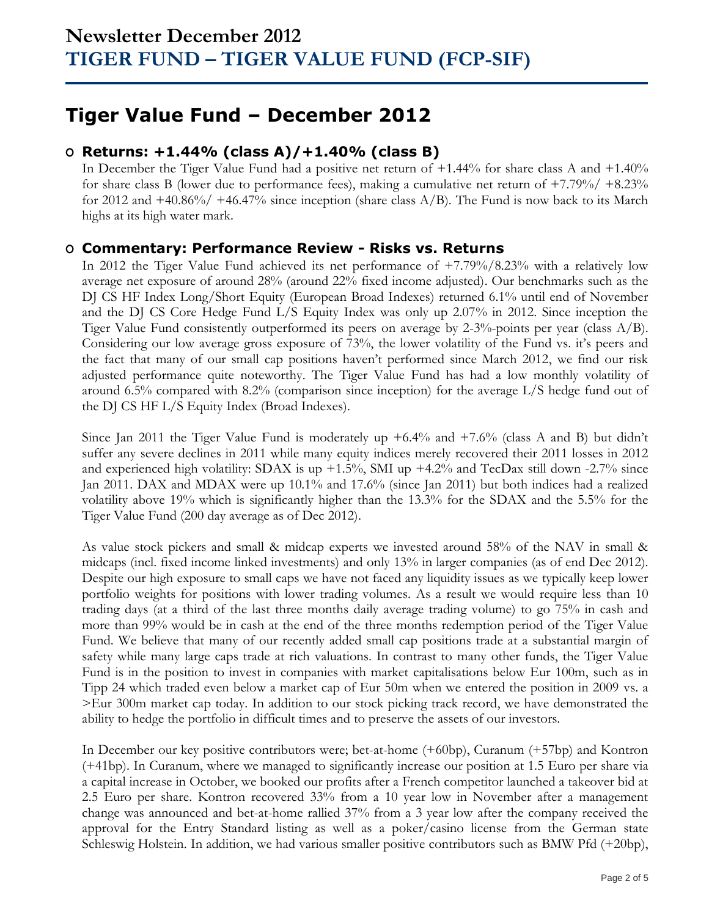## **Tiger Value Fund – December 2012**

### **O Returns: +1.44% (class A)/+1.40% (class B)**

In December the Tiger Value Fund had a positive net return of +1.44% for share class A and +1.40% for share class B (lower due to performance fees), making a cumulative net return of +7.79%/ +8.23% for 2012 and  $+40.86\%/+46.47\%$  since inception (share class A/B). The Fund is now back to its March highs at its high water mark.

### **O Commentary: Performance Review - Risks vs. Returns**

In 2012 the Tiger Value Fund achieved its net performance of +7.79%/8.23% with a relatively low average net exposure of around 28% (around 22% fixed income adjusted). Our benchmarks such as the DJ CS HF Index Long/Short Equity (European Broad Indexes) returned 6.1% until end of November and the DJ CS Core Hedge Fund L/S Equity Index was only up 2.07% in 2012. Since inception the Tiger Value Fund consistently outperformed its peers on average by 2-3%-points per year (class A/B). Considering our low average gross exposure of 73%, the lower volatility of the Fund vs. it's peers and the fact that many of our small cap positions haven't performed since March 2012, we find our risk adjusted performance quite noteworthy. The Tiger Value Fund has had a low monthly volatility of around 6.5% compared with 8.2% (comparison since inception) for the average L/S hedge fund out of the DJ CS HF L/S Equity Index (Broad Indexes).

Since Jan 2011 the Tiger Value Fund is moderately up  $+6.4\%$  and  $+7.6\%$  (class A and B) but didn't suffer any severe declines in 2011 while many equity indices merely recovered their 2011 losses in 2012 and experienced high volatility: SDAX is up  $+1.5\%$ , SMI up  $+4.2\%$  and TecDax still down  $-2.7\%$  since Jan 2011. DAX and MDAX were up 10.1% and 17.6% (since Jan 2011) but both indices had a realized volatility above 19% which is significantly higher than the 13.3% for the SDAX and the 5.5% for the Tiger Value Fund (200 day average as of Dec 2012).

As value stock pickers and small & midcap experts we invested around 58% of the NAV in small & midcaps (incl. fixed income linked investments) and only 13% in larger companies (as of end Dec 2012). Despite our high exposure to small caps we have not faced any liquidity issues as we typically keep lower portfolio weights for positions with lower trading volumes. As a result we would require less than 10 trading days (at a third of the last three months daily average trading volume) to go 75% in cash and more than 99% would be in cash at the end of the three months redemption period of the Tiger Value Fund. We believe that many of our recently added small cap positions trade at a substantial margin of safety while many large caps trade at rich valuations. In contrast to many other funds, the Tiger Value Fund is in the position to invest in companies with market capitalisations below Eur 100m, such as in Tipp 24 which traded even below a market cap of Eur 50m when we entered the position in 2009 vs. a >Eur 300m market cap today. In addition to our stock picking track record, we have demonstrated the ability to hedge the portfolio in difficult times and to preserve the assets of our investors.

In December our key positive contributors were; bet-at-home (+60bp), Curanum (+57bp) and Kontron (+41bp). In Curanum, where we managed to significantly increase our position at 1.5 Euro per share via a capital increase in October, we booked our profits after a French competitor launched a takeover bid at 2.5 Euro per share. Kontron recovered 33% from a 10 year low in November after a management change was announced and bet-at-home rallied 37% from a 3 year low after the company received the approval for the Entry Standard listing as well as a poker/casino license from the German state Schleswig Holstein. In addition, we had various smaller positive contributors such as BMW Pfd (+20bp),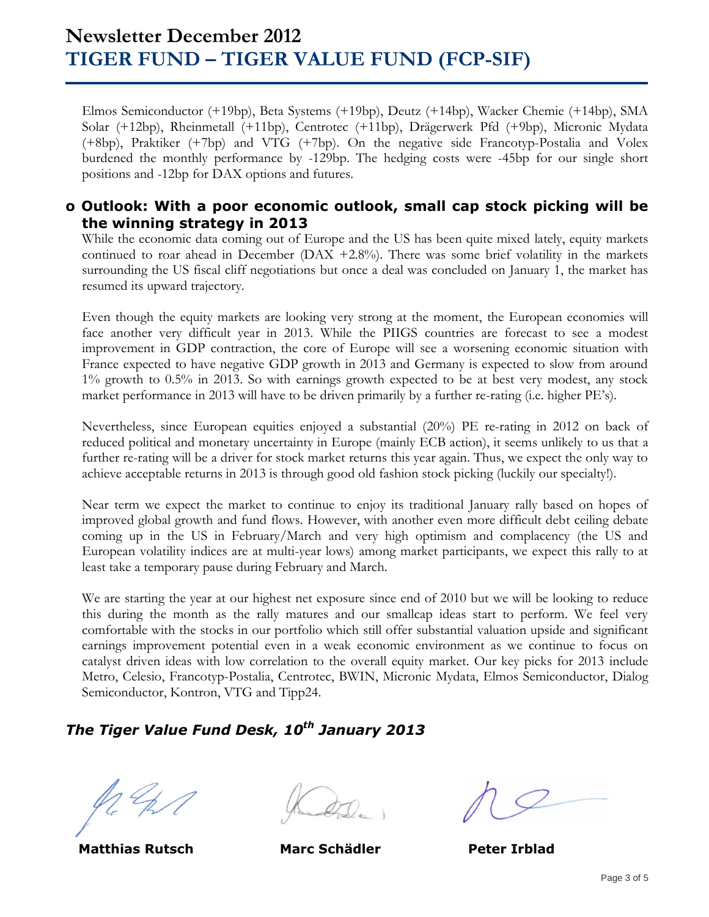## **Newsletter December 2012 TIGER FUND – TIGER VALUE FUND (FCP-SIF)**

Elmos Semiconductor (+19bp), Beta Systems (+19bp), Deutz (+14bp), Wacker Chemie (+14bp), SMA Solar (+12bp), Rheinmetall (+11bp), Centrotec (+11bp), Drägerwerk Pfd (+9bp), Micronic Mydata (+8bp), Praktiker (+7bp) and VTG (+7bp). On the negative side Francotyp-Postalia and Volex burdened the monthly performance by -129bp. The hedging costs were -45bp for our single short positions and -12bp for DAX options and futures.

#### **o Outlook: With a poor economic outlook, small cap stock picking will be the winning strategy in 2013**

While the economic data coming out of Europe and the US has been quite mixed lately, equity markets continued to roar ahead in December (DAX +2.8%). There was some brief volatility in the markets surrounding the US fiscal cliff negotiations but once a deal was concluded on January 1, the market has resumed its upward trajectory.

Even though the equity markets are looking very strong at the moment, the European economies will face another very difficult year in 2013. While the PIIGS countries are forecast to see a modest improvement in GDP contraction, the core of Europe will see a worsening economic situation with France expected to have negative GDP growth in 2013 and Germany is expected to slow from around 1% growth to 0.5% in 2013. So with earnings growth expected to be at best very modest, any stock market performance in 2013 will have to be driven primarily by a further re-rating (i.e. higher PE's).

Nevertheless, since European equities enjoyed a substantial (20%) PE re-rating in 2012 on back of reduced political and monetary uncertainty in Europe (mainly ECB action), it seems unlikely to us that a further re-rating will be a driver for stock market returns this year again. Thus, we expect the only way to achieve acceptable returns in 2013 is through good old fashion stock picking (luckily our specialty!).

Near term we expect the market to continue to enjoy its traditional January rally based on hopes of improved global growth and fund flows. However, with another even more difficult debt ceiling debate coming up in the US in February/March and very high optimism and complacency (the US and European volatility indices are at multi-year lows) among market participants, we expect this rally to at least take a temporary pause during February and March.

We are starting the year at our highest net exposure since end of 2010 but we will be looking to reduce this during the month as the rally matures and our smallcap ideas start to perform. We feel very comfortable with the stocks in our portfolio which still offer substantial valuation upside and significant earnings improvement potential even in a weak economic environment as we continue to focus on catalyst driven ideas with low correlation to the overall equity market. Our key picks for 2013 include Metro, Celesio, Francotyp-Postalia, Centrotec, BWIN, Micronic Mydata, Elmos Semiconductor, Dialog Semiconductor, Kontron, VTG and Tipp24.

### *The Tiger Value Fund Desk, 10th January 2013*

 **Matthias Rutsch Marc Schädler Peter Irblad**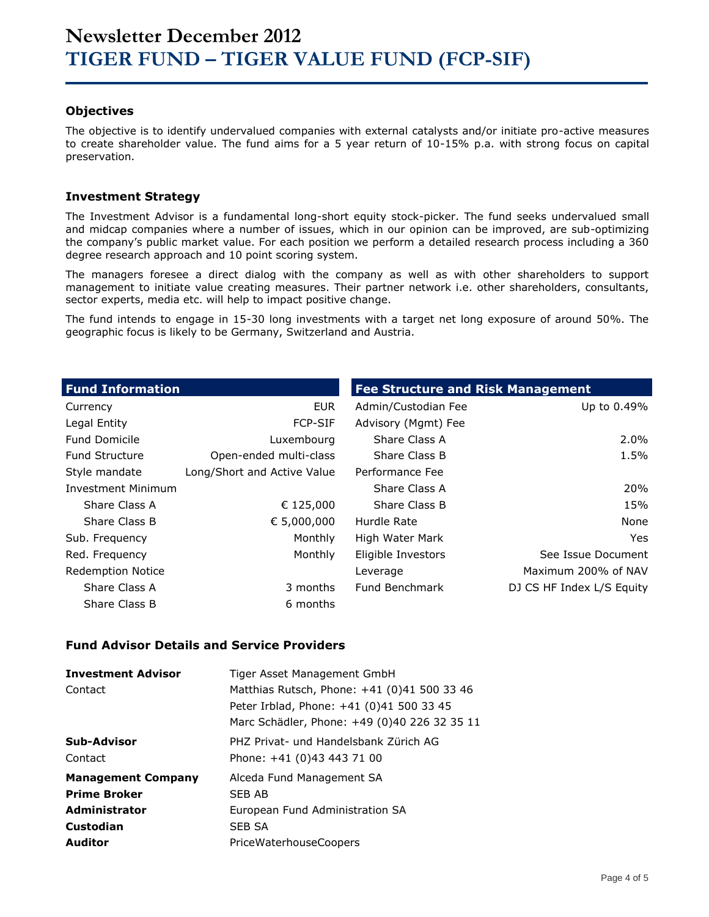#### **Objectives**

The objective is to identify undervalued companies with external catalysts and/or initiate pro-active measures to create shareholder value. The fund aims for a 5 year return of 10-15% p.a. with strong focus on capital preservation.

#### **Investment Strategy**

The Investment Advisor is a fundamental long-short equity stock-picker. The fund seeks undervalued small and midcap companies where a number of issues, which in our opinion can be improved, are sub-optimizing the company's public market value. For each position we perform a detailed research process including a 360 degree research approach and 10 point scoring system.

The managers foresee a direct dialog with the company as well as with other shareholders to support management to initiate value creating measures. Their partner network i.e. other shareholders, consultants, sector experts, media etc. will help to impact positive change.

The fund intends to engage in 15-30 long investments with a target net long exposure of around 50%. The geographic focus is likely to be Germany, Switzerland and Austria.

| <b>Fund Information</b>   |                             | <b>Fee Structure and Risk Management</b> |                           |
|---------------------------|-----------------------------|------------------------------------------|---------------------------|
| Currency                  | <b>EUR</b>                  | Admin/Custodian Fee                      | Up to 0.49%               |
| Legal Entity              | <b>FCP-SIF</b>              | Advisory (Mgmt) Fee                      |                           |
| <b>Fund Domicile</b>      | Luxembourg                  | Share Class A                            | $2.0\%$                   |
| <b>Fund Structure</b>     | Open-ended multi-class      | Share Class B                            | 1.5%                      |
| Style mandate             | Long/Short and Active Value | Performance Fee                          |                           |
| <b>Investment Minimum</b> |                             | Share Class A                            | 20%                       |
| Share Class A             | € 125,000                   | Share Class B                            | 15%                       |
| Share Class B             | € 5,000,000                 | Hurdle Rate                              | None                      |
| Sub. Frequency            | Monthly                     | High Water Mark                          | Yes                       |
| Red. Frequency            | Monthly                     | Eligible Investors                       | See Issue Document        |
| <b>Redemption Notice</b>  |                             | Leverage                                 | Maximum 200% of NAV       |
| Share Class A             | 3 months                    | Fund Benchmark                           | DJ CS HF Index L/S Equity |
| Share Class B             | 6 months                    |                                          |                           |

#### **Fund Advisor Details and Service Providers**

| <b>Investment Advisor</b><br>Contact | Tiger Asset Management GmbH<br>Matthias Rutsch, Phone: +41 (0)41 500 33 46<br>Peter Irblad, Phone: +41 (0)41 500 33 45<br>Marc Schädler, Phone: +49 (0)40 226 32 35 11 |
|--------------------------------------|------------------------------------------------------------------------------------------------------------------------------------------------------------------------|
| Sub-Advisor                          | PHZ Privat- und Handelsbank Zürich AG                                                                                                                                  |
| Contact                              | Phone: +41 (0)43 443 71 00                                                                                                                                             |
| <b>Management Company</b>            | Alceda Fund Management SA                                                                                                                                              |
| <b>Prime Broker</b>                  | SFB AB                                                                                                                                                                 |
| <b>Administrator</b>                 | European Fund Administration SA                                                                                                                                        |
| Custodian                            | <b>SEB SA</b>                                                                                                                                                          |
| <b>Auditor</b>                       | PriceWaterhouseCoopers                                                                                                                                                 |